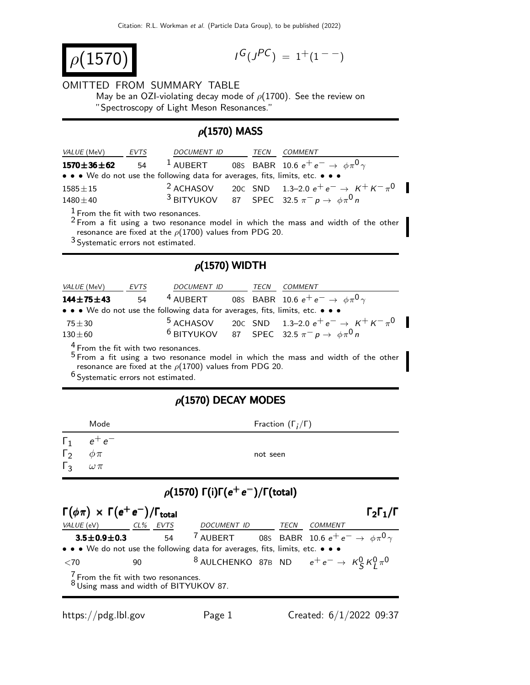$\rho(1570)$  is a set of  $\mu$ 

$$
G(J^{PC}) = 1^+(1^{--})
$$

#### OMITTED FROM SUMMARY TABLE

May be an OZI-violating decay mode of  $\rho(1700)$ . See the review on "Spectroscopy of Light Meson Resonances."

### $\rho$ (1570) MASS

| <i>VALUE</i> (MeV)                                                                                                                                                                                                                  | EVTS | DOCUMENT ID TECN |  |  | <i>COMMENT</i>                                                |  |  |  |
|-------------------------------------------------------------------------------------------------------------------------------------------------------------------------------------------------------------------------------------|------|------------------|--|--|---------------------------------------------------------------|--|--|--|
| <sup>1</sup> AUBERT 085 BABR 10.6 $e^+e^- \rightarrow \phi \pi^0 \gamma$<br>$1570 \pm 36 \pm 62$ 54                                                                                                                                 |      |                  |  |  |                                                               |  |  |  |
| • • • We do not use the following data for averages, fits, limits, etc. • • •                                                                                                                                                       |      |                  |  |  |                                                               |  |  |  |
| $1585 \pm 15$                                                                                                                                                                                                                       |      |                  |  |  | <sup>2</sup> ACHASOV 20C SND 1.3-2.0 $e^+e^- \to K^+K^-\pi^0$ |  |  |  |
| $1480 \pm 40$                                                                                                                                                                                                                       |      |                  |  |  | <sup>3</sup> BITYUKOV 87 SPEC 32.5 $\pi^- p \to \phi \pi^0 n$ |  |  |  |
| $1$ From the fit with two resonances.<br>$2$ From a fit using a two resonance model in which the mass and width of the other<br>resonance are fixed at the $\rho(1700)$ values from PDG 20.<br>$3$ Systematic errors not estimated. |      |                  |  |  |                                                               |  |  |  |
| $\rho$ (1570) WIDTH                                                                                                                                                                                                                 |      |                  |  |  |                                                               |  |  |  |

# VALUE (MeV) EVTS DOCUMENT ID TECN COMMENT **144±75±43** 54 <sup>4</sup> AUBERT 08S BABR 10.6  $e^+e^- \to \phi \pi^0 \gamma$ • • • We do not use the following data for averages, fits, limits, etc. •  $75±30$  5 ACHASOV 20⊂ SND 1.3–2.0 e<sup>+</sup> e<sup>−</sup> → K<sup>+</sup> K<sup>−</sup> π<sup>0</sup>  $75\pm30$  5 ACHASOV 20c SND 1.3–2.0  $e^+e^- \rightarrow K$ <br>130 $\pm 60$  6 BITYUKOV 87 SPEC 32.5  $\pi^- p \rightarrow \phi \pi^0 n$

4 From the fit with two resonances.

 $5$  From a fit using a two resonance model in which the mass and width of the other resonance are fixed at the  $\rho(1700)$  values from PDG 20.

6 Systematic errors not estimated.

## $ρ(1570)$  DECAY MODES

| $\Gamma_1$<br>$e^+e^-$<br>$\Gamma_2$<br>$\phi \pi$<br>not seen<br>$\Gamma_3$<br>$\omega\,\pi$ | Mode | Fraction $(\Gamma_i/\Gamma)$ |
|-----------------------------------------------------------------------------------------------|------|------------------------------|
|                                                                                               |      |                              |

# $\rho(1570)$  Γ(i)Γ( $e^+e^-$ )/Γ(total)

| $\Gamma(\phi \pi) \times \Gamma(e^+ e^-)/\Gamma_{\text{total}}$                           |          |                                                                          |      |         | $\Gamma_2\Gamma_1/\Gamma$ |
|-------------------------------------------------------------------------------------------|----------|--------------------------------------------------------------------------|------|---------|---------------------------|
| <i>VALUE</i> (eV)                                                                         | CL% EVTS | DOCUMENT ID                                                              | TECN | COMMENT |                           |
| $3.5 \pm 0.9 \pm 0.3$                                                                     | 54       | <sup>7</sup> AUBERT 085 BABR 10.6 $e^+e^- \rightarrow \phi \pi^0 \gamma$ |      |         |                           |
| • • • We do not use the following data for averages, fits, limits, etc. • • •             |          |                                                                          |      |         |                           |
| $<$ 70                                                                                    | 90       | <sup>8</sup> AULCHENKO 87B ND $e^+e^- \rightarrow K_S^0 K_I^0 \pi^0$     |      |         |                           |
| $\frac{7}{8}$ From the fit with two resonances.<br>8 Using mass and width of BITYUKOV 87. |          |                                                                          |      |         |                           |

П